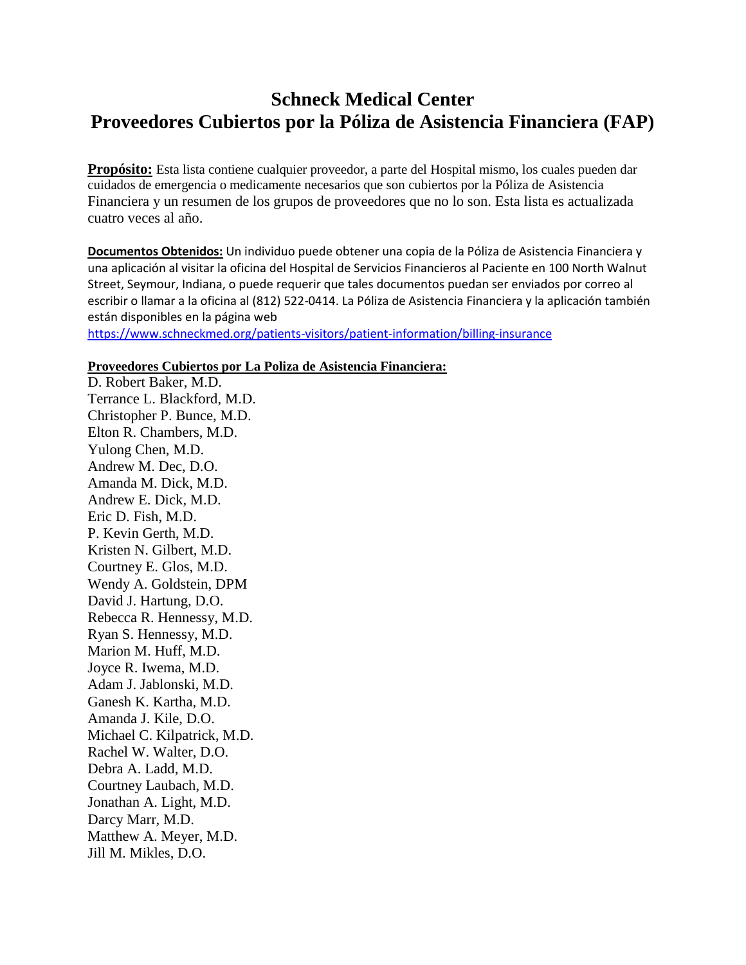## **Schneck Medical Center Proveedores Cubiertos por la Póliza de Asistencia Financiera (FAP)**

**Propósito:** Esta lista contiene cualquier proveedor, a parte del Hospital mismo, los cuales pueden dar cuidados de emergencia o medicamente necesarios que son cubiertos por la Póliza de Asistencia Financiera y un resumen de los grupos de proveedores que no lo son. Esta lista es actualizada cuatro veces al año.

**Documentos Obtenidos:** Un individuo puede obtener una copia de la Póliza de Asistencia Financiera y una aplicación al visitar la oficina del Hospital de Servicios Financieros al Paciente en 100 North Walnut Street, Seymour, Indiana, o puede requerir que tales documentos puedan ser enviados por correo al escribir o llamar a la oficina al (812) 522-0414. La Póliza de Asistencia Financiera y la aplicación también están disponibles en la página web

<https://www.schneckmed.org/patients-visitors/patient-information/billing-insurance>

## **Proveedores Cubiertos por La Poliza de Asistencia Financiera:**

D. Robert Baker, M.D. Terrance L. Blackford, M.D. Christopher P. Bunce, M.D. Elton R. Chambers, M.D. Yulong Chen, M.D. Andrew M. Dec, D.O. Amanda M. Dick, M.D. Andrew E. Dick, M.D. Eric D. Fish, M.D. P. Kevin Gerth, M.D. Kristen N. Gilbert, M.D. Courtney E. Glos, M.D. Wendy A. Goldstein, DPM David J. Hartung, D.O. Rebecca R. Hennessy, M.D. Ryan S. Hennessy, M.D. Marion M. Huff, M.D. Joyce R. Iwema, M.D. Adam J. Jablonski, M.D. Ganesh K. Kartha, M.D. Amanda J. Kile, D.O. Michael C. Kilpatrick, M.D. Rachel W. Walter, D.O. Debra A. Ladd, M.D. Courtney Laubach, M.D. Jonathan A. Light, M.D. Darcy Marr, M.D. Matthew A. Meyer, M.D. Jill M. Mikles, D.O.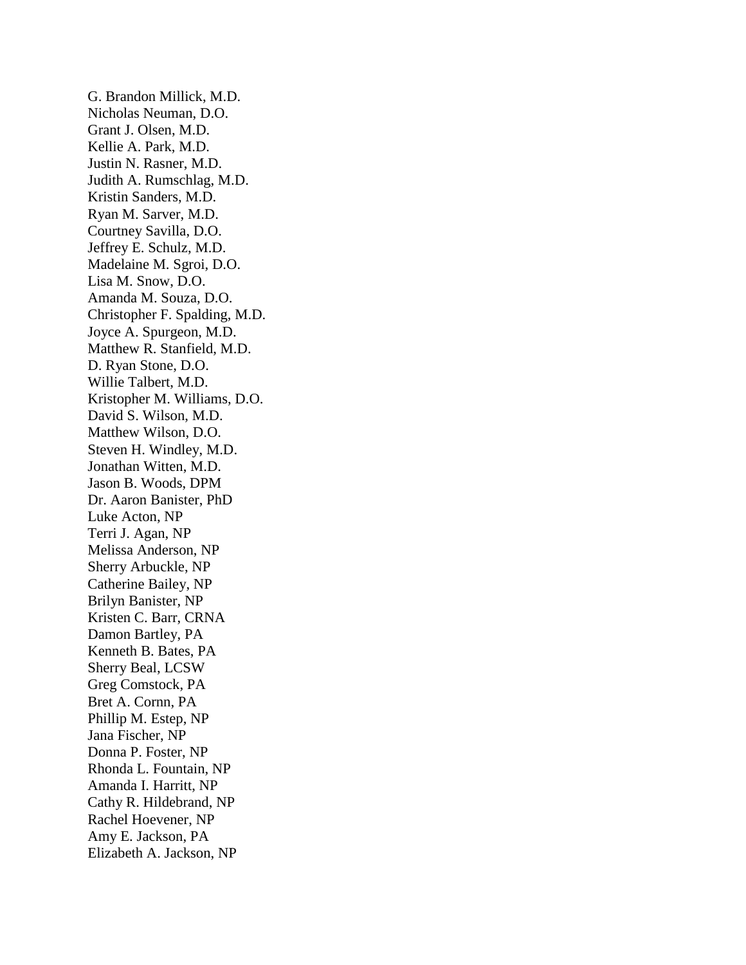G. Brandon Millick, M.D. Nicholas Neuman, D.O. Grant J. Olsen, M.D. Kellie A. Park, M.D. Justin N. Rasner, M.D. Judith A. Rumschlag, M.D. Kristin Sanders, M.D. Ryan M. Sarver, M.D. Courtney Savilla, D.O. Jeffrey E. Schulz, M.D. Madelaine M. Sgroi, D.O. Lisa M. Snow, D.O. Amanda M. Souza, D.O. Christopher F. Spalding, M.D. Joyce A. Spurgeon, M.D. Matthew R. Stanfield, M.D. D. Ryan Stone, D.O. Willie Talbert, M.D. Kristopher M. Williams, D.O. David S. Wilson, M.D. Matthew Wilson, D.O. Steven H. Windley, M.D. Jonathan Witten, M.D. Jason B. Woods, DPM Dr. Aaron Banister, PhD Luke Acton, NP Terri J. Agan, NP Melissa Anderson, NP Sherry Arbuckle, NP Catherine Bailey, NP Brilyn Banister, NP Kristen C. Barr, CRNA Damon Bartley, PA Kenneth B. Bates, PA Sherry Beal, LCSW Greg Comstock, PA Bret A. Cornn, PA Phillip M. Estep, NP Jana Fischer, NP Donna P. Foster, NP Rhonda L. Fountain, NP Amanda I. Harritt, NP Cathy R. Hildebrand, NP Rachel Hoevener, NP Amy E. Jackson, PA Elizabeth A. Jackson, NP